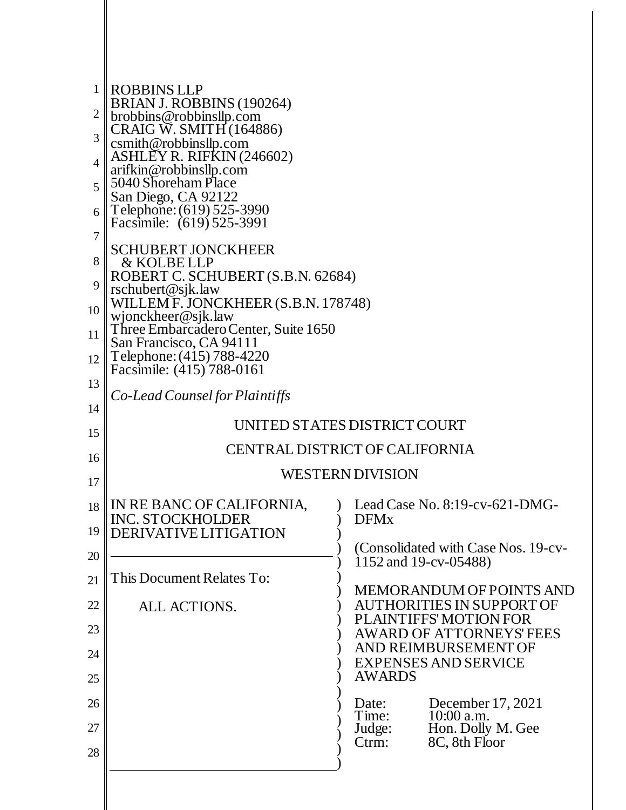| 1<br>$\overline{c}$<br>3<br>4<br>5<br>6<br>7<br>8<br>9 | <b>ROBBINS LLP</b><br><b>BRIAN J. ROBBINS</b> (190264)<br>brobbins@robbinsllp.com<br>CRAIG W. SMITH (164886)<br>csmith@robbinsllp.com<br>ASHLEY R. RIFKIN (246602)<br>arifkin@robbinsllp.com<br>5040 Shoreham Place<br>San Diego, CA 92122<br>Telephone: (619) 525-3990<br>Facsimile: (619) 525-3991<br><b>SCHUBERT JONCKHEER</b><br>& KOLBE LLP<br>ROBERT C. SCHUBERT (S.B.N. 62684)<br>rschubert@sjk.law |                                                                                               |  |  |
|--------------------------------------------------------|------------------------------------------------------------------------------------------------------------------------------------------------------------------------------------------------------------------------------------------------------------------------------------------------------------------------------------------------------------------------------------------------------------|-----------------------------------------------------------------------------------------------|--|--|
| 10<br>11<br>12                                         | WILLEM F. JONCKHEER (S.B.N. 178748)<br>wjonckheer@sjk.law<br>Three Embarcadero Center, Suite 1650<br>San Francisco, CA 94111<br>Telephone: (415) 788-4220<br>Facsimile: (415) 788-0161                                                                                                                                                                                                                     |                                                                                               |  |  |
| 13<br>14<br>15<br>16                                   | Co-Lead Counsel for Plaintiffs<br>UNITED STATES DISTRICT COURT<br>CENTRAL DISTRICT OF CALIFORNIA                                                                                                                                                                                                                                                                                                           |                                                                                               |  |  |
| 17                                                     | WESTERN DIVISION<br>18 IN RE BANC OF CALIFORNIA,<br>Lead Case No. 8:19-cv-621-DMG-                                                                                                                                                                                                                                                                                                                         |                                                                                               |  |  |
| 19                                                     | <b>INC. STOCKHOLDER</b><br>DERIVATIVE LITIGATION                                                                                                                                                                                                                                                                                                                                                           | <b>DFMx</b>                                                                                   |  |  |
| 20<br>21                                               | This Document Relates To:                                                                                                                                                                                                                                                                                                                                                                                  | (Consolidated with Case Nos. 19-cv-<br>1152 and 19-cv-05488)                                  |  |  |
| 22                                                     | ALL ACTIONS.                                                                                                                                                                                                                                                                                                                                                                                               | <b>MEMORANDUM OF POINTS AND</b><br><b>AUTHORITIES IN SUPPORT OF</b><br>PLAINTIFFS' MOTION FOR |  |  |
| 23<br>24                                               |                                                                                                                                                                                                                                                                                                                                                                                                            | <b>AWARD OF ATTORNEYS' FEES</b><br>AND REIMBURSEMENT OF                                       |  |  |
| 25                                                     |                                                                                                                                                                                                                                                                                                                                                                                                            | <b>EXPENSES AND SERVICE</b><br><b>AWARDS</b>                                                  |  |  |
| 26<br>27                                               |                                                                                                                                                                                                                                                                                                                                                                                                            | December 17, 2021<br>Date:<br>Time:<br>$10:00$ a.m.<br>Hon. Dolly M. Gee<br>Judge:            |  |  |
| 28                                                     |                                                                                                                                                                                                                                                                                                                                                                                                            | 8C, 8th Floor<br>$C$ trm:                                                                     |  |  |
|                                                        |                                                                                                                                                                                                                                                                                                                                                                                                            |                                                                                               |  |  |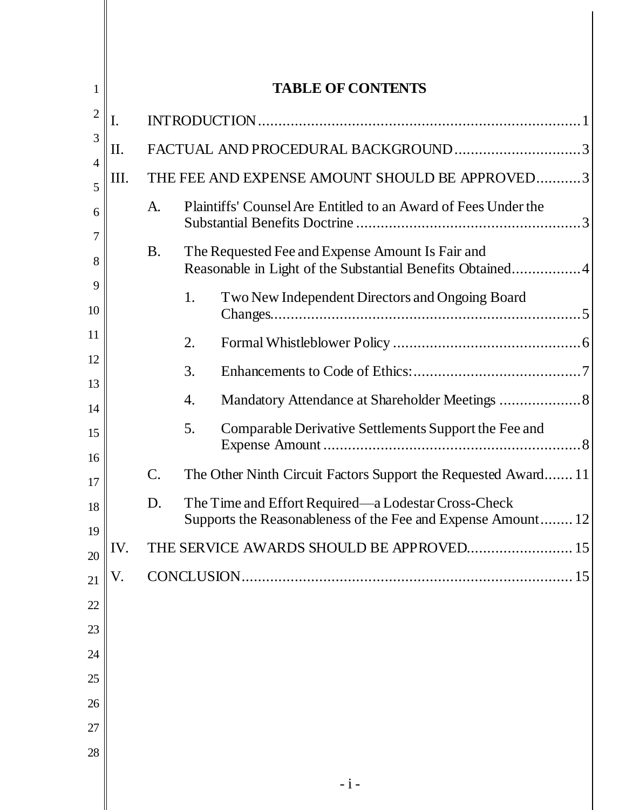| $\mathbf{1}$        | <b>TABLE OF CONTENTS</b> |                 |                                                                                                                     |
|---------------------|--------------------------|-----------------|---------------------------------------------------------------------------------------------------------------------|
| $\mathfrak{2}$      | I.                       |                 |                                                                                                                     |
| 3                   | Π.                       |                 | FACTUAL AND PROCEDURAL BACKGROUND3                                                                                  |
| $\overline{4}$<br>5 | Ш.                       |                 | THE FEE AND EXPENSE AMOUNT SHOULD BE APPROVED3                                                                      |
| 6                   |                          | A.              | Plaintiffs' Counsel Are Entitled to an Award of Fees Under the                                                      |
| 7<br>8              |                          | <b>B.</b>       | The Requested Fee and Expense Amount Is Fair and<br>Reasonable in Light of the Substantial Benefits Obtained4       |
| 9<br>10             |                          |                 | Two New Independent Directors and Ongoing Board<br>1.                                                               |
| 11                  |                          |                 | 2.                                                                                                                  |
| 12                  |                          |                 | 3.                                                                                                                  |
| 13<br>14            |                          |                 | Mandatory Attendance at Shareholder Meetings  8<br>4.                                                               |
| 15<br>16            |                          |                 | 5.<br>Comparable Derivative Settlements Support the Fee and                                                         |
| 17                  |                          | $\mathcal{C}$ . | The Other Ninth Circuit Factors Support the Requested Award 11                                                      |
| 18<br>19            |                          | D.              | The Time and Effort Required—a Lodestar Cross-Check<br>Supports the Reasonableness of the Fee and Expense Amount 12 |
| 20                  | IV.                      |                 | THE SERVICE AWARDS SHOULD BE APPROVED 15                                                                            |
| 21                  | V.                       |                 |                                                                                                                     |
| 22                  |                          |                 |                                                                                                                     |
| 23                  |                          |                 |                                                                                                                     |
| 24                  |                          |                 |                                                                                                                     |
| 25                  |                          |                 |                                                                                                                     |
| 26                  |                          |                 |                                                                                                                     |
| 27<br>28            |                          |                 |                                                                                                                     |
|                     |                          |                 |                                                                                                                     |
|                     |                          |                 | $-i-$                                                                                                               |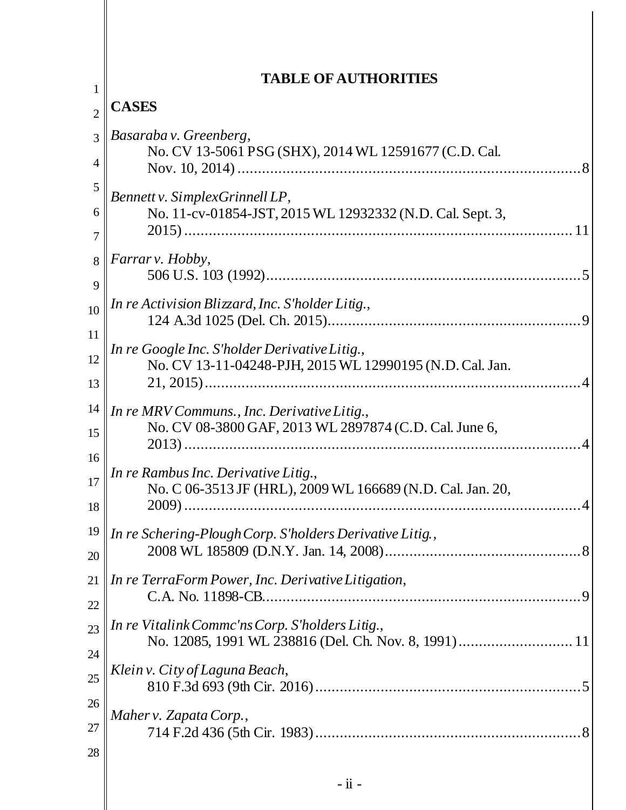|                     | <b>TABLE OF AUTHORITIES</b>                                                                               |  |  |  |  |
|---------------------|-----------------------------------------------------------------------------------------------------------|--|--|--|--|
| 1<br>$\overline{2}$ | <b>CASES</b>                                                                                              |  |  |  |  |
| 3<br>4              | Basaraba v. Greenberg,<br>No. CV 13-5061 PSG (SHX), 2014 WL 12591677 (C.D. Cal.                           |  |  |  |  |
| 5                   | Bennett v. SimplexGrinnell LP,                                                                            |  |  |  |  |
| 6                   | No. 11-cv-01854-JST, 2015 WL 12932332 (N.D. Cal. Sept. 3,                                                 |  |  |  |  |
| 7                   |                                                                                                           |  |  |  |  |
| 8                   | Farrar v. Hobby,                                                                                          |  |  |  |  |
| 9                   |                                                                                                           |  |  |  |  |
| 10                  | In re Activision Blizzard, Inc. S'holder Litig.,                                                          |  |  |  |  |
| 11                  |                                                                                                           |  |  |  |  |
| 12<br>13            | In re Google Inc. S'holder Derivative Litig.,<br>No. CV 13-11-04248-PJH, 2015 WL 12990195 (N.D. Cal. Jan. |  |  |  |  |
| 14<br>15            | In re MRV Communs., Inc. Derivative Litig.,<br>No. CV 08-3800 GAF, 2013 WL 2897874 (C.D. Cal. June 6,     |  |  |  |  |
| 16                  | In re Rambus Inc. Derivative Litig.,                                                                      |  |  |  |  |
| 17                  | No. C 06-3513 JF (HRL), 2009 WL 166689 (N.D. Cal. Jan. 20,                                                |  |  |  |  |
| 18                  |                                                                                                           |  |  |  |  |
| 19                  | In re Schering-Plough Corp. S'holders Derivative Litig.,                                                  |  |  |  |  |
| 20                  |                                                                                                           |  |  |  |  |
| 21                  | In re TerraForm Power, Inc. Derivative Litigation,                                                        |  |  |  |  |
| 22                  |                                                                                                           |  |  |  |  |
| 23                  | In re Vitalink Commc'ns Corp. S'holders Litig.,                                                           |  |  |  |  |
| 24                  | No. 12085, 1991 WL 238816 (Del. Ch. Nov. 8, 1991) 11                                                      |  |  |  |  |
| 25                  | Klein v. City of Laguna Beach,                                                                            |  |  |  |  |
| 26                  |                                                                                                           |  |  |  |  |
| 27                  | Maher v. Zapata Corp.,                                                                                    |  |  |  |  |
| 28                  |                                                                                                           |  |  |  |  |
|                     | $-ii -$                                                                                                   |  |  |  |  |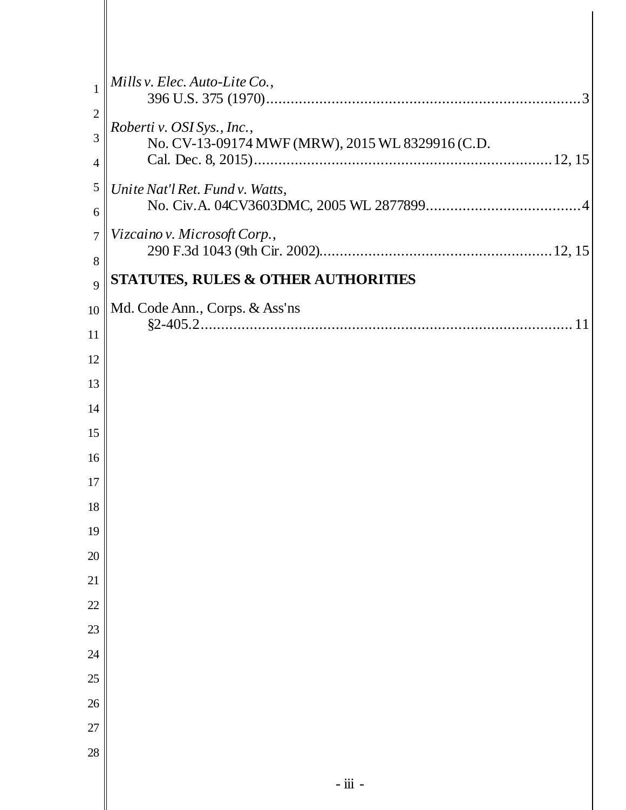| $\mathbf{1}$             | Mills v. Elec. Auto-Lite Co.,                                                  |
|--------------------------|--------------------------------------------------------------------------------|
| $\overline{2}$<br>3<br>4 | Roberti v. OSI Sys., Inc.,<br>No. CV-13-09174 MWF (MRW), 2015 WL 8329916 (C.D. |
| 5<br>6                   | Unite Nat'l Ret. Fund v. Watts,                                                |
| 7<br>8                   | Vizcaino v. Microsoft Corp.,                                                   |
| 9                        | <b>STATUTES, RULES &amp; OTHER AUTHORITIES</b>                                 |
| 10                       | Md. Code Ann., Corps. & Ass'ns                                                 |
| 11                       |                                                                                |
| 12                       |                                                                                |
| 13                       |                                                                                |
| 14                       |                                                                                |
| 15                       |                                                                                |
| 16                       |                                                                                |
| 17                       |                                                                                |
| 18                       |                                                                                |
| 19                       |                                                                                |
| 20                       |                                                                                |
| 21                       |                                                                                |
| 22                       |                                                                                |
| 23                       |                                                                                |
| 24                       |                                                                                |
| 25                       |                                                                                |
| $26\,$                   |                                                                                |
| 27                       |                                                                                |
| 28                       |                                                                                |
|                          | $-$ iii $-$                                                                    |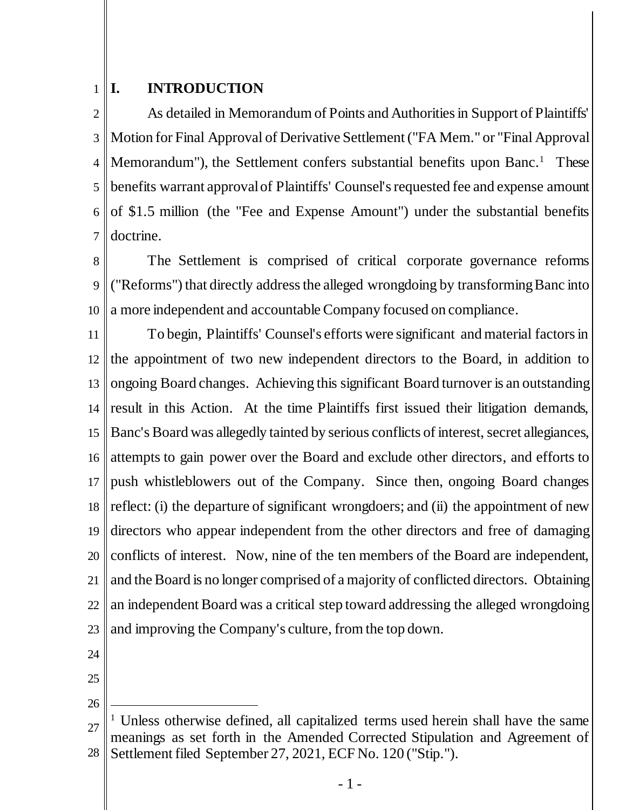#### <span id="page-4-0"></span>1 **I. INTRODUCTION**

2 3 4 5 6 7 As detailed in Memorandum of Points and Authorities in Support of Plaintiffs' Motion for Final Approval of Derivative Settlement ("FA Mem." or "Final Approval Memorandum"), the Settlement confers substantial benefits upon Banc.<sup>1</sup> These benefits warrant approval of Plaintiffs' Counsel's requested fee and expense amount of \$1.5 million (the "Fee and Expense Amount") under the substantial benefits doctrine.

8 9 10 The Settlement is comprised of critical corporate governance reforms ("Reforms") that directly address the alleged wrongdoing by transforming Banc into a more independent and accountable Company focused on compliance.

11 12 13 14 15 16 17 18 19 20 21 22 23 To begin, Plaintiffs' Counsel's efforts were significant and material factors in the appointment of two new independent directors to the Board, in addition to ongoing Board changes. Achieving this significant Board turnover is an outstanding result in this Action. At the time Plaintiffs first issued their litigation demands, Banc's Board was allegedly tainted by serious conflicts of interest, secret allegiances, attempts to gain power over the Board and exclude other directors, and efforts to push whistleblowers out of the Company. Since then, ongoing Board changes reflect: (i) the departure of significant wrongdoers; and (ii) the appointment of new directors who appear independent from the other directors and free of damaging conflicts of interest. Now, nine of the ten members of the Board are independent, and the Board is no longer comprised of a majority of conflicted directors. Obtaining an independent Board was a critical step toward addressing the alleged wrongdoing and improving the Company's culture, from the top down.

24

25 26

l

<sup>27</sup> 28 <sup>1</sup> Unless otherwise defined, all capitalized terms used herein shall have the same meanings as set forth in the Amended Corrected Stipulation and Agreement of Settlement filed September 27, 2021, ECF No. 120 ("Stip.").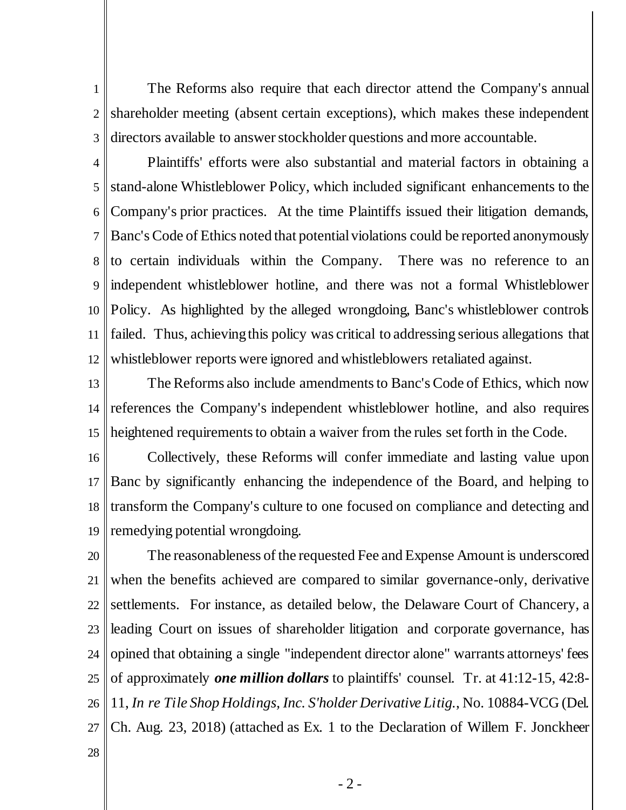1 2 3 The Reforms also require that each director attend the Company's annual shareholder meeting (absent certain exceptions), which makes these independent directors available to answer stockholder questions and more accountable.

4 5 6 7 8 9 10 11 12 Plaintiffs' efforts were also substantial and material factors in obtaining a stand-alone Whistleblower Policy, which included significant enhancements to the Company's prior practices. At the time Plaintiffs issued their litigation demands, Banc's Code of Ethics noted that potential violations could be reported anonymously to certain individuals within the Company. There was no reference to an independent whistleblower hotline, and there was not a formal Whistleblower Policy. As highlighted by the alleged wrongdoing, Banc's whistleblower controls failed. Thus, achieving this policy was critical to addressing serious allegations that whistleblower reports were ignored and whistleblowers retaliated against.

13 14 15 The Reforms also include amendments to Banc's Code of Ethics, which now references the Company's independent whistleblower hotline, and also requires heightened requirements to obtain a waiver from the rules set forth in the Code.

16 17 18 19 Collectively, these Reforms will confer immediate and lasting value upon Banc by significantly enhancing the independence of the Board, and helping to transform the Company's culture to one focused on compliance and detecting and remedying potential wrongdoing.

20 21 22 23 24 25 26 27 The reasonableness of the requested Fee and Expense Amount is underscored when the benefits achieved are compared to similar governance-only, derivative settlements. For instance, as detailed below, the Delaware Court of Chancery, a leading Court on issues of shareholder litigation and corporate governance, has opined that obtaining a single "independent director alone" warrants attorneys' fees of approximately *one million dollars* to plaintiffs' counsel. Tr. at 41:12-15, 42:8- 11, *In re Tile Shop Holdings, Inc. S'holder Derivative Litig.*, No. 10884-VCG (Del. Ch. Aug. 23, 2018) (attached as Ex. 1 to the Declaration of Willem F. Jonckheer

28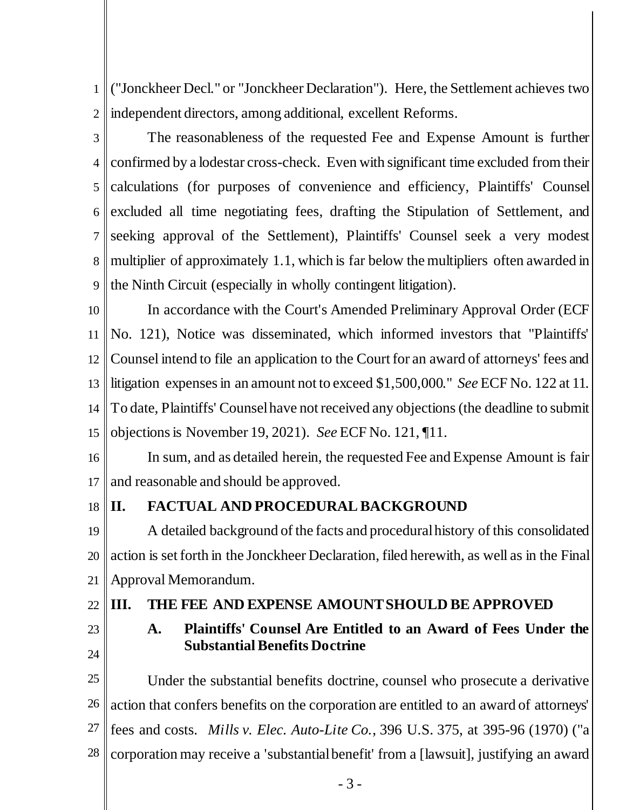1 2 ("Jonckheer Decl." or "Jonckheer Declaration"). Here, the Settlement achieves two independent directors, among additional, excellent Reforms.

3

4 5 calculations (for purposes of convenience and efficiency, Plaintiffs' Counsel 6 7 8 9 The reasonableness of the requested Fee and Expense Amount is further confirmed by a lodestar cross-check. Even with significant time excluded from their excluded all time negotiating fees, drafting the Stipulation of Settlement, and seeking approval of the Settlement), Plaintiffs' Counsel seek a very modest multiplier of approximately 1.1, which is far below the multipliers often awarded in the Ninth Circuit (especially in wholly contingent litigation).

10 11 12 13 14 15 In accordance with the Court's Amended Preliminary Approval Order (ECF No. 121), Notice was disseminated, which informed investors that "Plaintiffs' Counsel intend to file an application to the Court for an award of attorneys' fees and litigation expenses in an amount not to exceed \$1,500,000." *See* ECF No. 122 at 11. To date, Plaintiffs' Counsel have not received any objections(the deadline to submit objections is November 19, 2021). *See* ECF No. 121, ¶11.

16 17 In sum, and as detailed herein, the requested Fee and Expense Amount is fair and reasonable and should be approved.

#### <span id="page-6-0"></span>18 **II. FACTUAL AND PROCEDURALBACKGROUND**

19 20 21 A detailed background of the facts and procedural history of this consolidated action is set forth in the Jonckheer Declaration, filed herewith, as well as in the Final Approval Memorandum.

# 22

24

# <span id="page-6-2"></span><span id="page-6-1"></span>**III. THE FEE AND EXPENSE AMOUNTSHOULD BE APPROVED**

23

# <span id="page-6-3"></span>**A. Plaintiffs' Counsel Are Entitled to an Award of Fees Under the Substantial Benefits Doctrine**

25 26 27 28 Under the substantial benefits doctrine, counsel who prosecute a derivative action that confers benefits on the corporation are entitled to an award of attorneys' fees and costs. *Mills v. Elec. Auto-Lite Co.*, 396 U.S. 375, at 395-96 (1970) ("a corporation may receive a 'substantial benefit' from a [lawsuit], justifying an award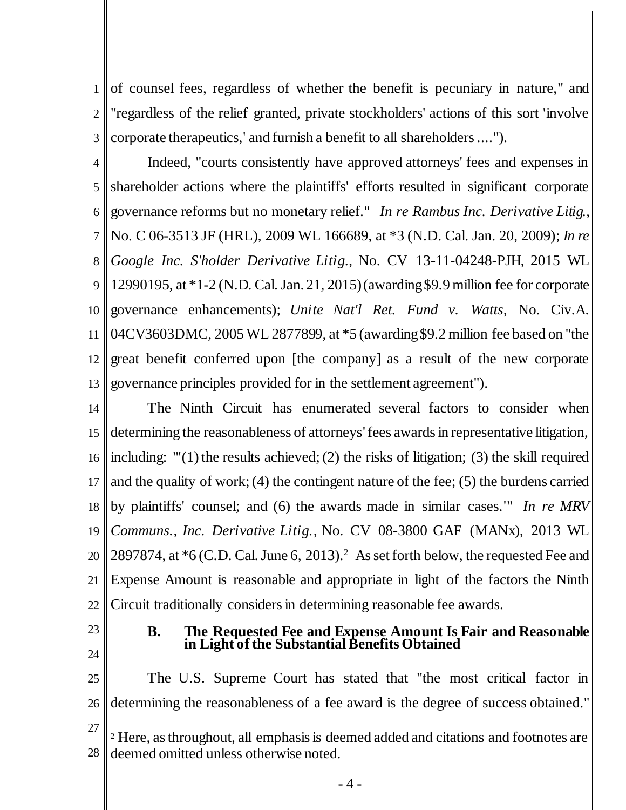1 2 3 of counsel fees, regardless of whether the benefit is pecuniary in nature," and "regardless of the relief granted, private stockholders' actions of this sort 'involve corporate therapeutics,' and furnish a benefit to all shareholders ....").

<span id="page-7-3"></span><span id="page-7-1"></span>4 5 6 7 8 9 10 11 12 13 Indeed, "courts consistently have approved attorneys' fees and expenses in shareholder actions where the plaintiffs' efforts resulted in significant corporate governance reforms but no monetary relief." *In re Rambus Inc. Derivative Litig.*, No. C 06-3513 JF (HRL), 2009 WL 166689, at \*3 (N.D. Cal. Jan. 20, 2009); *In re Google Inc. S'holder Derivative Litig.*, No. CV 13-11-04248-PJH, 2015 WL 12990195, at \*1-2 (N.D. Cal. Jan. 21, 2015) (awarding \$9.9 million fee for corporate governance enhancements); *Unite Nat'l Ret. Fund v. Watts*, No. Civ.A. 04CV3603DMC, 2005 WL 2877899, at \*5 (awarding \$9.2 million fee based on "the great benefit conferred upon [the company] as a result of the new corporate governance principles provided for in the settlement agreement").

<span id="page-7-4"></span>14 15 16 17 18 19 20 21 22 The Ninth Circuit has enumerated several factors to consider when determining the reasonableness of attorneys'fees awards in representative litigation, including: "'(1) the results achieved; (2) the risks of litigation; (3) the skill required and the quality of work; (4) the contingent nature of the fee; (5) the burdens carried by plaintiffs' counsel; and (6) the awards made in similar cases.'" *In re MRV Communs., Inc. Derivative Litig.*, No. CV 08-3800 GAF (MANx), 2013 WL 2897874, at  $*6$  (C.D. Cal. June 6, 2013).<sup>2</sup> As set forth below, the requested Fee and Expense Amount is reasonable and appropriate in light of the factors the Ninth Circuit traditionally considers in determining reasonable fee awards.

<span id="page-7-0"></span>23

### <span id="page-7-2"></span>**B. The Requested Fee and Expense Amount Is Fair and Reasonable in Light of the Substantial Benefits Obtained**

24

l

25 26 The U.S. Supreme Court has stated that "the most critical factor in determining the reasonableness of a fee award is the degree of success obtained."

<sup>27</sup> 28 <sup>2</sup> Here, as throughout, all emphasis is deemed added and citations and footnotes are deemed omitted unless otherwise noted.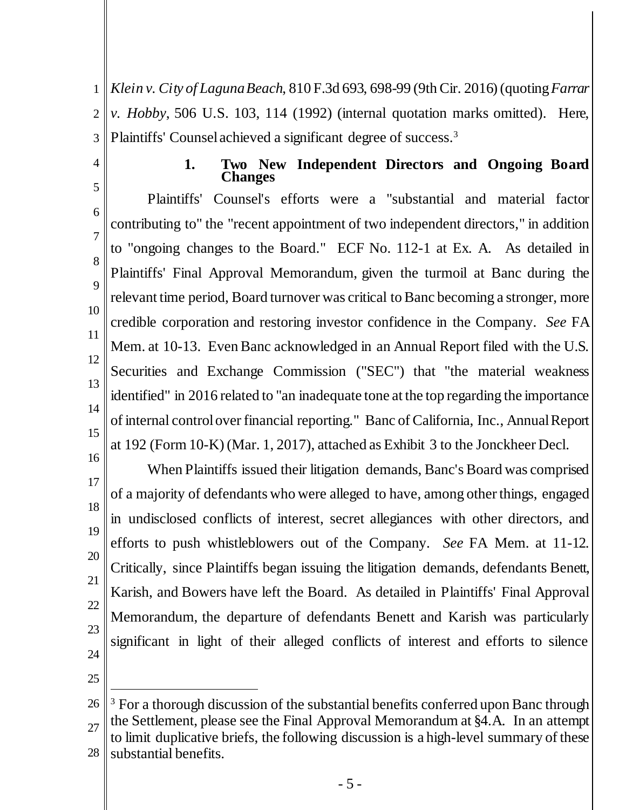<span id="page-8-2"></span>1 2 3 *Klein v. City of Laguna Beach*, 810 F.3d 693, 698-99 (9th Cir. 2016) (quoting *Farrar v. Hobby*, 506 U.S. 103, 114 (1992) (internal quotation marks omitted). Here, Plaintiffs' Counsel achieved a significant degree of success.<sup>3</sup>

<span id="page-8-0"></span>4

### <span id="page-8-1"></span>**1. Two New Independent Directors and Ongoing Board Changes**

5 6 7 8 9 10 11 12 13 14 15 Plaintiffs' Counsel's efforts were a "substantial and material factor contributing to" the "recent appointment of two independent directors," in addition to "ongoing changes to the Board." ECF No. 112-1 at Ex. A. As detailed in Plaintiffs' Final Approval Memorandum, given the turmoil at Banc during the relevant time period, Board turnover was critical to Banc becoming a stronger, more credible corporation and restoring investor confidence in the Company. *See* FA Mem. at 10-13. Even Banc acknowledged in an Annual Report filed with the U.S. Securities and Exchange Commission ("SEC") that "the material weakness identified" in 2016 related to "an inadequate tone at the top regarding the importance of internal control over financial reporting." Banc of California, Inc., Annual Report at 192 (Form 10-K) (Mar. 1, 2017), attached as Exhibit 3 to the Jonckheer Decl.

16 17 18 19 20 21 22 23 24 When Plaintiffs issued their litigation demands, Banc's Board was comprised of a majority of defendants who were alleged to have, among other things, engaged in undisclosed conflicts of interest, secret allegiances with other directors, and efforts to push whistleblowers out of the Company. *See* FA Mem. at 11-12. Critically, since Plaintiffs began issuing the litigation demands, defendants Benett, Karish, and Bowers have left the Board. As detailed in Plaintiffs' Final Approval Memorandum, the departure of defendants Benett and Karish was particularly significant in light of their alleged conflicts of interest and efforts to silence

25

j

<sup>26</sup> 27 28 <sup>3</sup> For a thorough discussion of the substantial benefits conferred upon Banc through the Settlement, please see the Final Approval Memorandum at §4.A. In an attempt to limit duplicative briefs, the following discussion is a high-level summary of these substantial benefits.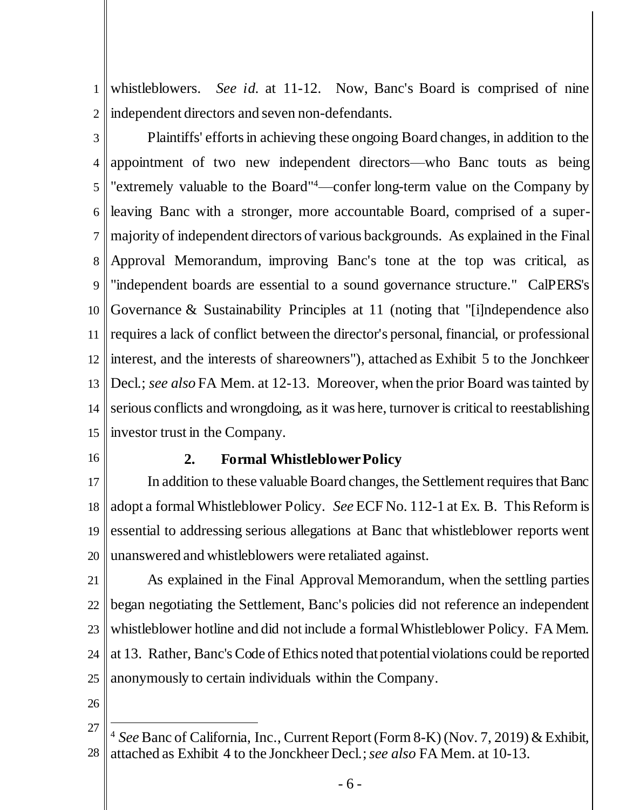1 2 whistleblowers. *See id.* at 11-12. Now, Banc's Board is comprised of nine independent directors and seven non-defendants.

3 4 5 6 7 8 9 10 11 12 13 14 15 Plaintiffs' efforts in achieving these ongoing Board changes, in addition to the appointment of two new independent directors—who Banc touts as being "extremely valuable to the Board"<sup>4</sup>—confer long-term value on the Company by leaving Banc with a stronger, more accountable Board, comprised of a supermajority of independent directors of various backgrounds. As explained in the Final Approval Memorandum, improving Banc's tone at the top was critical, as "independent boards are essential to a sound governance structure." CalPERS's Governance & Sustainability Principles at 11 (noting that "[i]ndependence also requires a lack of conflict between the director's personal, financial, or professional interest, and the interests of shareowners"), attached as Exhibit 5 to the Jonchkeer Decl.; *see also* FA Mem. at 12-13. Moreover, when the prior Board was tainted by serious conflicts and wrongdoing, as it was here, turnover is critical to reestablishing investor trust in the Company.

<span id="page-9-0"></span>16

## **2. Formal Whistleblower Policy**

17 18 19 20 In addition to these valuable Board changes, the Settlement requires that Banc adopt a formal Whistleblower Policy. *See* ECF No. 112-1 at Ex. B. This Reform is essential to addressing serious allegations at Banc that whistleblower reports went unanswered and whistleblowers were retaliated against.

21 22 23 24 25 As explained in the Final Approval Memorandum, when the settling parties began negotiating the Settlement, Banc's policies did not reference an independent whistleblower hotline and did not include a formal Whistleblower Policy. FA Mem. at 13. Rather, Banc's Code of Ethics noted that potential violations could be reported anonymously to certain individuals within the Company.

26

l

<sup>27</sup> 28 <sup>4</sup> *See* Banc of California, Inc., Current Report (Form 8-K) (Nov. 7, 2019) & Exhibit, attached as Exhibit 4 to the Jonckheer Decl.; *see also* FA Mem. at 10-13.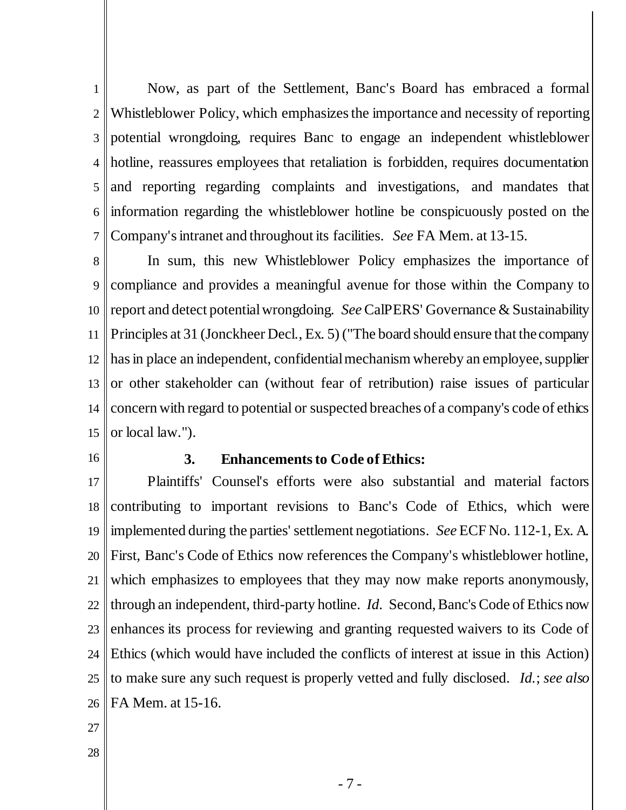1 2 3 4 5 6 7 Now, as part of the Settlement, Banc's Board has embraced a formal Whistleblower Policy, which emphasizes the importance and necessity of reporting potential wrongdoing, requires Banc to engage an independent whistleblower hotline, reassures employees that retaliation is forbidden, requires documentation and reporting regarding complaints and investigations, and mandates that information regarding the whistleblower hotline be conspicuously posted on the Company's intranet and throughout its facilities. *See* FA Mem. at 13-15.

8 9 10 11 12 13 14 15 In sum, this new Whistleblower Policy emphasizes the importance of compliance and provides a meaningful avenue for those within the Company to report and detect potentialwrongdoing. *See* CalPERS' Governance & Sustainability Principles at 31 (Jonckheer Decl., Ex. 5) ("The board should ensure that the company has in place an independent, confidential mechanism whereby an employee, supplier or other stakeholder can (without fear of retribution) raise issues of particular concern with regard to potential or suspected breaches of a company's code of ethics or local law.").

<span id="page-10-0"></span>16

#### **3. Enhancements to Code of Ethics:**

17 18 19 20 21 22 23 24 25 26 Plaintiffs' Counsel's efforts were also substantial and material factors contributing to important revisions to Banc's Code of Ethics, which were implemented during the parties' settlement negotiations. *See* ECF No. 112-1, Ex. A. First, Banc's Code of Ethics now references the Company's whistleblower hotline, which emphasizes to employees that they may now make reports anonymously, through an independent, third-party hotline. *Id*. Second, Banc's Code of Ethics now enhances its process for reviewing and granting requested waivers to its Code of Ethics (which would have included the conflicts of interest at issue in this Action) to make sure any such request is properly vetted and fully disclosed. *Id.*; *see also*  FA Mem. at 15-16.

- 27
- 28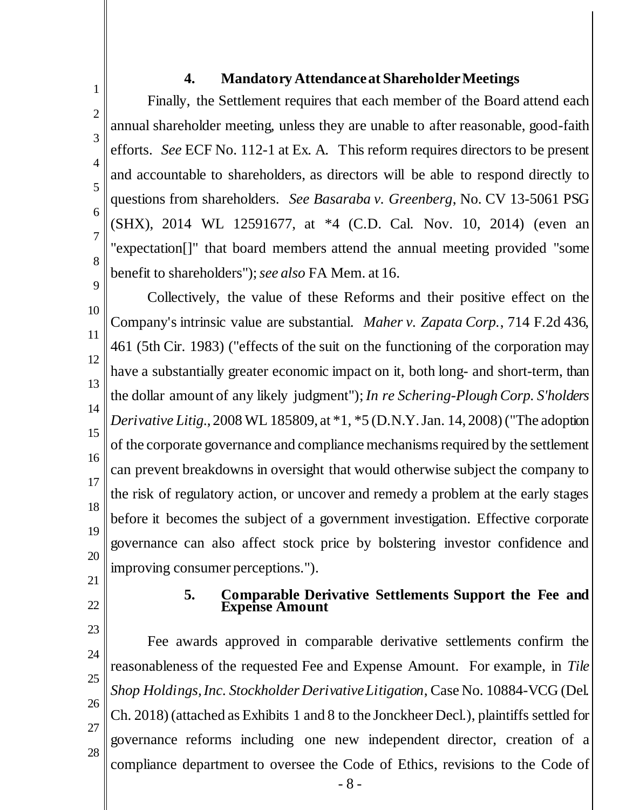# <span id="page-11-2"></span>**4. Mandatory Attendance at Shareholder Meetings**

Finally, the Settlement requires that each member of the Board attend each annual shareholder meeting, unless they are unable to after reasonable, good-faith efforts. *See* ECF No. 112-1 at Ex. A. This reform requires directors to be present and accountable to shareholders, as directors will be able to respond directly to questions from shareholders. *See Basaraba v. Greenberg*, No. CV 13-5061 PSG (SHX), 2014 WL 12591677, at \*4 (C.D. Cal. Nov. 10, 2014) (even an "expectation[]" that board members attend the annual meeting provided "some benefit to shareholders");*see also* FA Mem. at 16.

10 11 12 13 14 15 16 17 18 19 20 Collectively, the value of these Reforms and their positive effect on the Company's intrinsic value are substantial. *Maher v. Zapata Corp.*, 714 F.2d 436, 461 (5th Cir. 1983) ("effects of the suit on the functioning of the corporation may have a substantially greater economic impact on it, both long- and short-term, than the dollar amount of any likely judgment"); *In re Schering-Plough Corp. S'holders Derivative Litig.*, 2008 WL 185809, at \*1, \*5 (D.N.Y. Jan. 14, 2008) ("The adoption of the corporate governance and compliance mechanisms required by the settlement can prevent breakdowns in oversight that would otherwise subject the company to the risk of regulatory action, or uncover and remedy a problem at the early stages before it becomes the subject of a government investigation. Effective corporate governance can also affect stock price by bolstering investor confidence and improving consumer perceptions.").

<span id="page-11-1"></span>21

<span id="page-11-0"></span>1

2

3

4

5

6

7

8

<span id="page-11-4"></span>9

22

#### <span id="page-11-3"></span>**5. Comparable Derivative Settlements Support the Fee and Expense Amount**

23 24 25 26 27 28 Fee awards approved in comparable derivative settlements confirm the reasonableness of the requested Fee and Expense Amount. For example, in *Tile Shop Holdings, Inc. Stockholder Derivative Litigation*, Case No. 10884-VCG (Del. Ch. 2018) (attached as Exhibits 1 and 8 to the Jonckheer Decl.), plaintiffs settled for governance reforms including one new independent director, creation of a compliance department to oversee the Code of Ethics, revisions to the Code of

- 8 -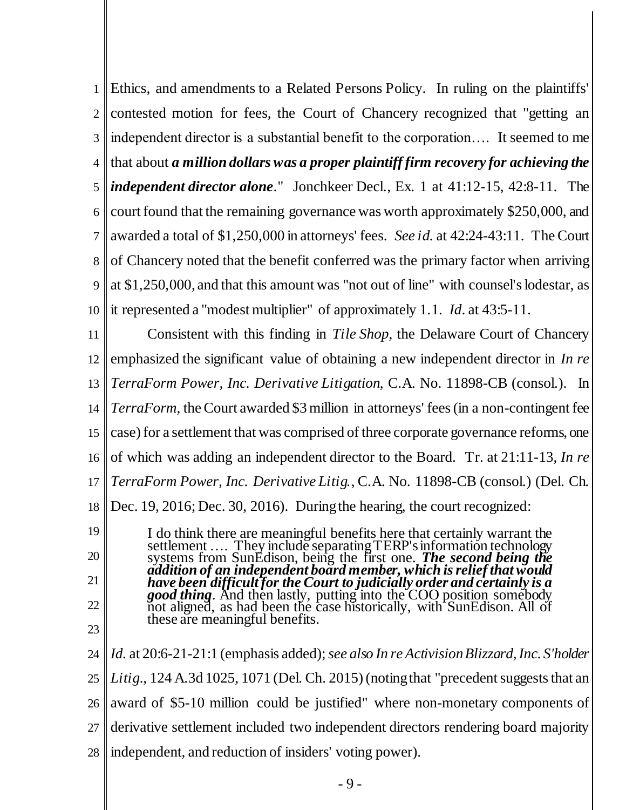1 2 3 4 5 6 7 8 9 10 Ethics, and amendments to a Related Persons Policy. In ruling on the plaintiffs' contested motion for fees, the Court of Chancery recognized that "getting an independent director is a substantial benefit to the corporation…. It seemed to me that about *a million dollars was a proper plaintiff firm recovery for achieving the independent director alone*." Jonchkeer Decl., Ex. 1 at 41:12-15, 42:8-11. The court found that the remaining governance was worth approximately \$250,000, and awarded a total of \$1,250,000 in attorneys' fees. *See id.* at 42:24-43:11. The Court of Chancery noted that the benefit conferred was the primary factor when arriving at \$1,250,000, and that this amount was "not out of line" with counsel's lodestar, as it represented a "modest multiplier" of approximately 1.1. *Id*. at 43:5-11.

<span id="page-12-1"></span>11 12 13 14 15 16 17 18 Consistent with this finding in *Tile Shop*, the Delaware Court of Chancery emphasized the significant value of obtaining a new independent director in *In re TerraForm Power, Inc. Derivative Litigation*, C.A. No. 11898-CB (consol.). In *TerraForm*, the Court awarded \$3 million in attorneys' fees (in a non-contingent fee case) for a settlement that was comprised of three corporate governance reforms, one of which was adding an independent director to the Board. Tr. at 21:11-13, *In re TerraForm Power, Inc. Derivative Litig.*, C.A. No. 11898-CB (consol.) (Del. Ch. Dec. 19, 2016; Dec. 30, 2016). During the hearing, the court recognized:

<span id="page-12-0"></span>I do think there are meaningful benefits here that certainly warrant the settlement .... They include separating TERP's information technology systems from SunEdison, being the first one. *The second being the addition of an independent board member, which is relief that would have been difficult for the Court to judicially order and certainly is a good thing*. And then lastly, putting into the COO position somebody not aligned, as had been the case historically, with SunEdison. All of these are meaningful benefits.

23

19

20

21

22

24 25 26 27 28 *Id.* at 20:6-21-21:1 (emphasis added);*see also In re Activision Blizzard, Inc. S'holder Litig.*, 124 A.3d 1025, 1071 (Del. Ch. 2015) (noting that "precedent suggests that an award of \$5-10 million could be justified" where non-monetary components of derivative settlement included two independent directors rendering board majority independent, and reduction of insiders' voting power).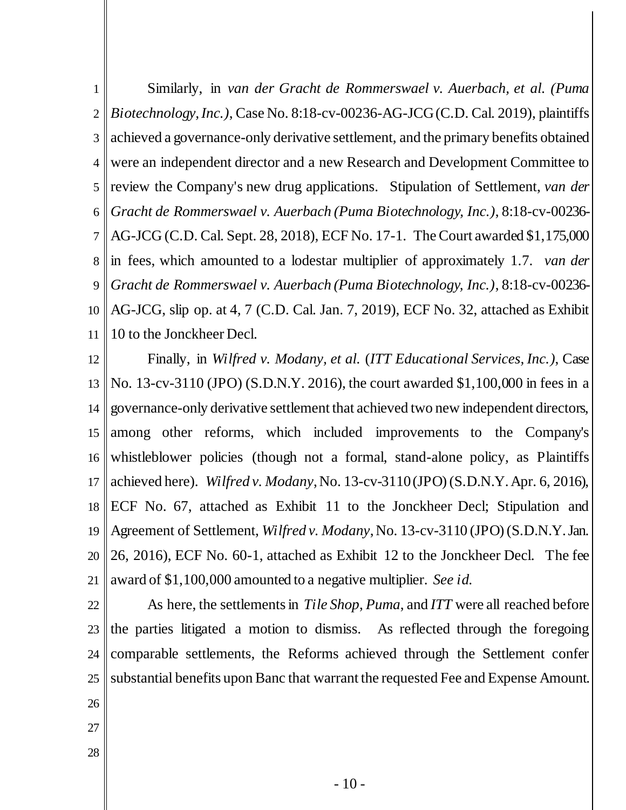1 2 3 4 5 6 7 8 9 10 11 Similarly, in *van der Gracht de Rommerswael v. Auerbach, et al. (Puma Biotechnology, Inc.)*, Case No. 8:18-cv-00236-AG-JCG(C.D. Cal. 2019), plaintiffs achieved a governance-only derivative settlement, and the primary benefits obtained were an independent director and a new Research and Development Committee to review the Company's new drug applications. Stipulation of Settlement, *van der Gracht de Rommerswael v. Auerbach (Puma Biotechnology, Inc.)*, 8:18-cv-00236- AG-JCG (C.D. Cal. Sept. 28, 2018), ECF No. 17-1. The Court awarded \$1,175,000 in fees, which amounted to a lodestar multiplier of approximately 1.7. *van der Gracht de Rommerswael v. Auerbach (Puma Biotechnology, Inc.)*, 8:18-cv-00236- AG-JCG, slip op. at 4, 7 (C.D. Cal. Jan. 7, 2019), ECF No. 32, attached as Exhibit 10 to the Jonckheer Decl.

12 13 14 15 16 17 18 19 20 21 Finally, in *Wilfred v. Modany, et al.* (*ITT Educational Services, Inc.)*, Case No. 13-cv-3110 (JPO) (S.D.N.Y. 2016), the court awarded \$1,100,000 in fees in a governance-only derivative settlement that achieved two new independent directors, among other reforms, which included improvements to the Company's whistleblower policies (though not a formal, stand-alone policy, as Plaintiffs achieved here). *Wilfred v. Modany*, No. 13-cv-3110 (JPO) (S.D.N.Y. Apr. 6, 2016), ECF No. 67, attached as Exhibit 11 to the Jonckheer Decl; Stipulation and Agreement of Settlement, *Wilfred v. Modany*, No. 13-cv-3110 (JPO) (S.D.N.Y. Jan. 26, 2016), ECF No. 60-1, attached as Exhibit 12 to the Jonckheer Decl. The fee award of \$1,100,000 amounted to a negative multiplier. *See id.*

- 22 23 24 25 26 As here, the settlements in *Tile Shop*, *Puma*, and *ITT* were all reached before the parties litigated a motion to dismiss. As reflected through the foregoing comparable settlements, the Reforms achieved through the Settlement confer substantial benefits upon Banc that warrant the requested Fee and Expense Amount.
- 27
- 28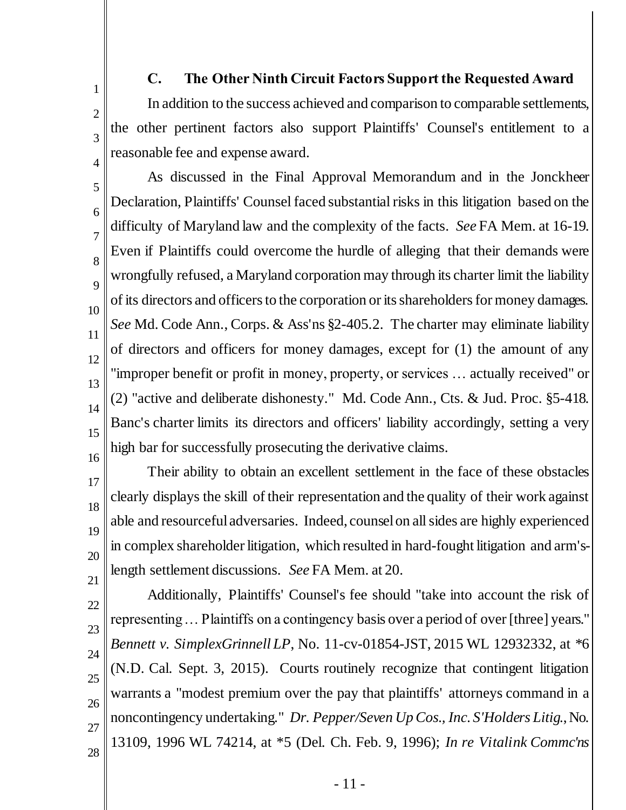# **C. The Other Ninth Circuit Factors Support the Requested Award**

In addition to the success achieved and comparison to comparable settlements, the other pertinent factors also support Plaintiffs' Counsel's entitlement to a reasonable fee and expense award.

<span id="page-14-0"></span>1

2

3

4

<span id="page-14-3"></span>5 6 7 8  $\overline{Q}$ 10 11 12 13 14 15 As discussed in the Final Approval Memorandum and in the Jonckheer Declaration, Plaintiffs' Counsel faced substantial risks in this litigation based on the difficulty of Maryland law and the complexity of the facts. *See* FA Mem. at 16-19. Even if Plaintiffs could overcome the hurdle of alleging that their demands were wrongfully refused, a Maryland corporation may through its charter limit the liability of its directors and officers to the corporation or its shareholders for money damages. *See* Md. Code Ann., Corps. & Ass'ns §2-405.2. The charter may eliminate liability of directors and officers for money damages, except for (1) the amount of any "improper benefit or profit in money, property, or services … actually received" or (2) "active and deliberate dishonesty." Md. Code Ann., Cts. & Jud. Proc. §5-418. Banc's charter limits its directors and officers' liability accordingly, setting a very high bar for successfully prosecuting the derivative claims.

- 16 17 18 19 20 21 Their ability to obtain an excellent settlement in the face of these obstacles clearly displays the skill of their representation and the quality of their work against able and resourceful adversaries. Indeed, counsel on all sides are highly experienced in complex shareholder litigation, which resulted in hard-fought litigation and arm'slength settlement discussions. *See* FA Mem. at 20.
- <span id="page-14-2"></span><span id="page-14-1"></span>22 23  $24$ 25 26 27 28 Additionally, Plaintiffs' Counsel's fee should "take into account the risk of representing … Plaintiffs on a contingency basis over a period of over [three] years." *Bennett v. SimplexGrinnell LP*, No. 11-cv-01854-JST, 2015 WL 12932332, at \*6 (N.D. Cal. Sept. 3, 2015). Courts routinely recognize that contingent litigation warrants a "modest premium over the pay that plaintiffs' attorneys command in a noncontingency undertaking." *Dr. Pepper/Seven Up Cos., Inc. S'Holders Litig.*, No. 13109, 1996 WL 74214, at \*5 (Del. Ch. Feb. 9, 1996); *In re Vitalink Commc'ns* 
	- 11 -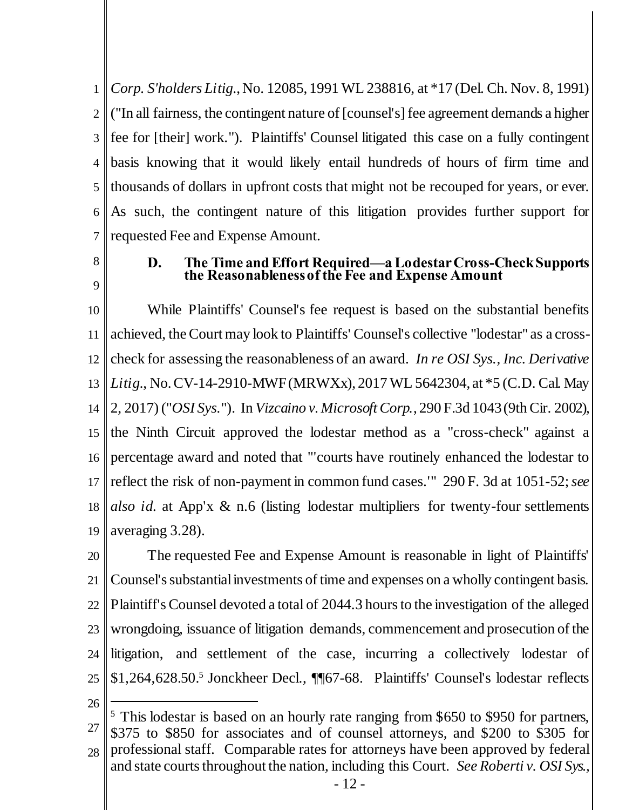1 2 3 4 5 6 7 *Corp. S'holders Litig.*, No. 12085, 1991 WL 238816, at \*17 (Del. Ch. Nov. 8, 1991) ("In all fairness, the contingent nature of [counsel's] fee agreement demands a higher fee for [their] work."). Plaintiffs' Counsel litigated this case on a fully contingent basis knowing that it would likely entail hundreds of hours of firm time and thousands of dollars in upfront costs that might not be recouped for years, or ever. As such, the contingent nature of this litigation provides further support for requested Fee and Expense Amount.

<span id="page-15-0"></span>8

9

### <span id="page-15-2"></span>**D. The Time and Effort Required—aLodestar Cross-Check Supports the Reasonableness of the Fee and Expense Amount**

<span id="page-15-1"></span>10 11 12 13 14 15 16 17 18 19 While Plaintiffs' Counsel's fee request is based on the substantial benefits achieved, the Court may look to Plaintiffs' Counsel's collective "lodestar" as a crosscheck for assessing the reasonableness of an award. *In re OSI Sys., Inc. Derivative Litig.*, No. CV-14-2910-MWF (MRWXx), 2017 WL 5642304, at \*5 (C.D. Cal. May 2, 2017) ("*OSI Sys.*"). In *Vizcaino v. Microsoft Corp.*, 290 F.3d 1043 (9th Cir. 2002), the Ninth Circuit approved the lodestar method as a "cross-check" against a percentage award and noted that "'courts have routinely enhanced the lodestar to reflect the risk of non-payment in common fund cases.'" 290 F. 3d at 1051-52; *see also id.* at App'x & n.6 (listing lodestar multipliers for twenty-four settlements averaging 3.28).

20 21 22 23 24 25 The requested Fee and Expense Amount is reasonable in light of Plaintiffs' Counsel's substantial investments of time and expenses on a wholly contingent basis. Plaintiff's Counsel devoted a total of 2044.3 hours to the investigation of the alleged wrongdoing, issuance of litigation demands, commencement and prosecution of the litigation, and settlement of the case, incurring a collectively lodestar of \$1,264,628.50.<sup>5</sup> Jonckheer Decl., ¶[67-68. Plaintiffs' Counsel's lodestar reflects

26

j

27 28 <sup>5</sup> This lodestar is based on an hourly rate ranging from \$650 to \$950 for partners, \$375 to \$850 for associates and of counsel attorneys, and \$200 to \$305 for professional staff. Comparable rates for attorneys have been approved by federal and state courts throughout the nation, including this Court. *See Roberti v. OSI Sys.,*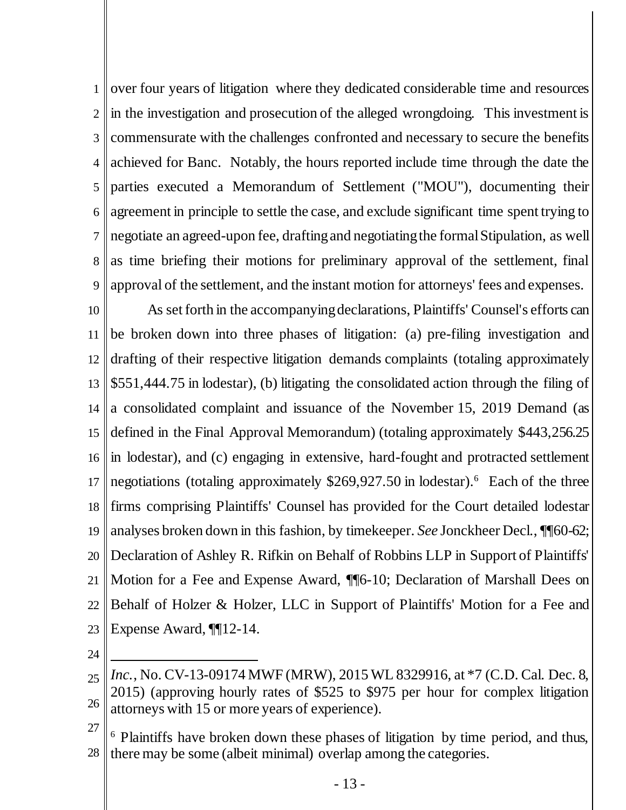1 2 3 4 5 6 7 8 9 over four years of litigation where they dedicated considerable time and resources in the investigation and prosecution of the alleged wrongdoing. This investment is commensurate with the challenges confronted and necessary to secure the benefits achieved for Banc. Notably, the hours reported include time through the date the parties executed a Memorandum of Settlement ("MOU"), documenting their agreement in principle to settle the case, and exclude significant time spent trying to negotiate an agreed-upon fee, drafting and negotiating the formal Stipulation, as well as time briefing their motions for preliminary approval of the settlement, final approval of the settlement, and the instant motion for attorneys' fees and expenses.

10 11 12 13 14 15 16 17 18 19 20 21 22 23 As set forth in the accompanying declarations, Plaintiffs' Counsel's efforts can be broken down into three phases of litigation: (a) pre-filing investigation and drafting of their respective litigation demands complaints (totaling approximately \$551,444.75 in lodestar), (b) litigating the consolidated action through the filing of a consolidated complaint and issuance of the November 15, 2019 Demand (as defined in the Final Approval Memorandum) (totaling approximately \$443,256.25 in lodestar), and (c) engaging in extensive, hard-fought and protracted settlement negotiations (totaling approximately \$269,927.50 in lodestar).<sup>6</sup> Each of the three firms comprising Plaintiffs' Counsel has provided for the Court detailed lodestar analyses broken down in this fashion, by timekeeper. *See* Jonckheer Decl., ¶¶60-62; Declaration of Ashley R. Rifkin on Behalf of Robbins LLP in Support of Plaintiffs' Motion for a Fee and Expense Award, ¶¶6-10; Declaration of Marshall Dees on Behalf of Holzer & Holzer, LLC in Support of Plaintiffs' Motion for a Fee and Expense Award, ¶¶12-14.

24

j

<sup>25</sup> 26 *Inc.*, No. CV-13-09174 MWF (MRW), 2015 WL 8329916, at \*7 (C.D. Cal. Dec. 8, 2015) (approving hourly rates of \$525 to \$975 per hour for complex litigation attorneys with 15 or more years of experience).

<sup>27</sup> 28 <sup>6</sup> Plaintiffs have broken down these phases of litigation by time period, and thus, there may be some (albeit minimal) overlap among the categories.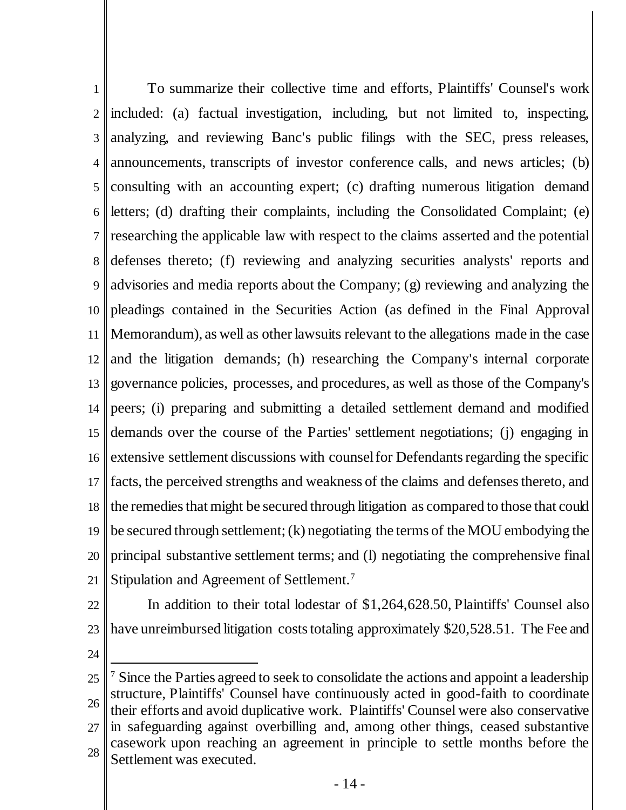1 2 3 4 5 6 7 8 9 10 11 12 13 14 15 16 17 18 19 20 21 To summarize their collective time and efforts, Plaintiffs' Counsel's work included: (a) factual investigation, including, but not limited to, inspecting, analyzing, and reviewing Banc's public filings with the SEC, press releases, announcements, transcripts of investor conference calls, and news articles; (b) consulting with an accounting expert; (c) drafting numerous litigation demand letters; (d) drafting their complaints, including the Consolidated Complaint; (e) researching the applicable law with respect to the claims asserted and the potential defenses thereto; (f) reviewing and analyzing securities analysts' reports and advisories and media reports about the Company; (g) reviewing and analyzing the pleadings contained in the Securities Action (as defined in the Final Approval Memorandum), as well as other lawsuits relevant to the allegations made in the case and the litigation demands; (h) researching the Company's internal corporate governance policies, processes, and procedures, as well as those of the Company's peers; (i) preparing and submitting a detailed settlement demand and modified demands over the course of the Parties' settlement negotiations; (j) engaging in extensive settlement discussions with counsel for Defendants regarding the specific facts, the perceived strengths and weakness of the claims and defenses thereto, and the remedies that might be secured through litigation as compared to those that could be secured through settlement; (k) negotiating the terms of the MOU embodying the principal substantive settlement terms; and (l) negotiating the comprehensive final Stipulation and Agreement of Settlement.<sup>7</sup>

- 22 23 In addition to their total lodestar of \$1,264,628.50, Plaintiffs' Counsel also have unreimbursed litigation costs totaling approximately \$20,528.51. The Fee and
- 24

<sup>25</sup> 26 27 28 l <sup>7</sup> Since the Parties agreed to seek to consolidate the actions and appoint a leadership structure, Plaintiffs' Counsel have continuously acted in good-faith to coordinate their efforts and avoid duplicative work. Plaintiffs' Counsel were also conservative in safeguarding against overbilling and, among other things, ceased substantive casework upon reaching an agreement in principle to settle months before the Settlement was executed.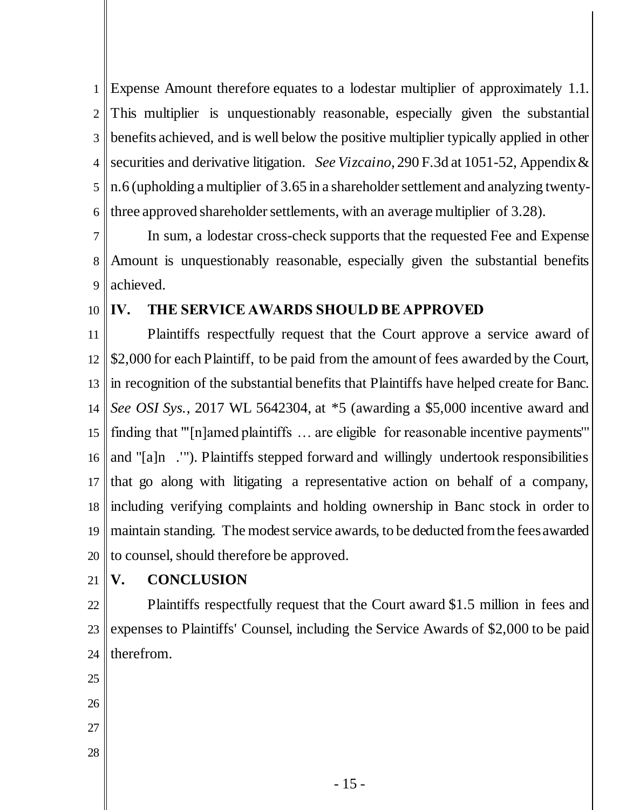<span id="page-18-3"></span>1 2 3 4 5 6 Expense Amount therefore equates to a lodestar multiplier of approximately 1.1. This multiplier is unquestionably reasonable, especially given the substantial benefits achieved, and is well below the positive multiplier typically applied in other securities and derivative litigation. *See Vizcaino*, 290 F.3d at 1051-52, Appendix & n.6 (upholding a multiplier of 3.65 in a shareholder settlement and analyzing twentythree approved shareholder settlements, with an average multiplier of 3.28).

7 8 9 In sum, a lodestar cross-check supports that the requested Fee and Expense Amount is unquestionably reasonable, especially given the substantial benefits achieved.

10

#### <span id="page-18-0"></span>**IV. THE SERVICE AWARDS SHOULD BE APPROVED**

<span id="page-18-2"></span>11 12 13 14 15 16 17 18 19 20 Plaintiffs respectfully request that the Court approve a service award of \$2,000 for each Plaintiff, to be paid from the amount of fees awarded by the Court, In recognition of the substantial benefits that Plaintiffs have helped create for Banc. *See OSI Sys.*, 2017 WL 5642304, at \*5 (awarding a \$5,000 incentive award and finding that "'[n]amed plaintiffs … are eligible for reasonable incentive payments'" and "[a]n .'"). Plaintiffs stepped forward and willingly undertook responsibilities that go along with litigating a representative action on behalf of a company, including verifying complaints and holding ownership in Banc stock in order to maintain standing. The modest service awards, to be deducted from the fees awarded to counsel, should therefore be approved.

21

# <span id="page-18-1"></span>**V. CONCLUSION**

22 23 24 Plaintiffs respectfully request that the Court award \$1.5 million in fees and expenses to Plaintiffs' Counsel, including the Service Awards of \$2,000 to be paid therefrom.

- 25
- 26
- 27
- 28